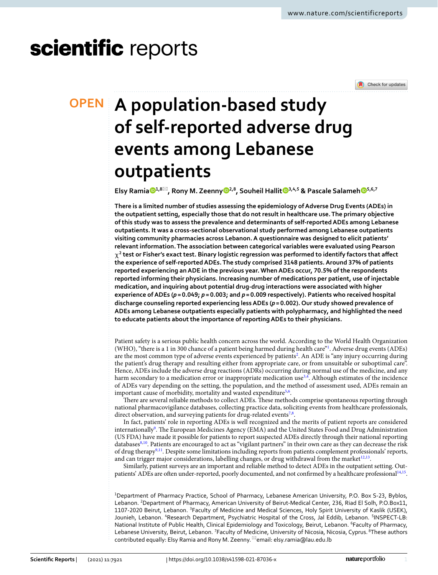# scientific reports



## **A population‑based study OPEN of self‑reported adverse drug events among Lebanese outpatients**

**Elsy Ramia [1](http://orcid.org/0000-0001-6447-4377),8**\***, Rony M. Zeenny [2](http://orcid.org/0000-0002-5443-7780),8, Souheil Halli[t](http://orcid.org/0000-0001-6918-5689) 3,4,5 & Pascale Salameh [5](http://orcid.org/0000-0002-4780-0772),6,7**

**There is a limited number of studies assessing the epidemiology of Adverse Drug Events (ADEs) in the outpatient setting, especially those that do not result in healthcare use. The primary objective of this study was to assess the prevalence and determinants of self-reported ADEs among Lebanese outpatients. It was a cross-sectional observational study performed among Lebanese outpatients visiting community pharmacies across Lebanon. A questionnaire was designed to elicit patients' relevant information. The association between categorical variables were evaluated using Pearson**   $\chi^2$  test or Fisher's exact test. Binary logistic regression was performed to identify factors that affect **the experience of self-reported ADEs. The study comprised 3148 patients. Around 37% of patients reported experiencing an ADE in the previous year. When ADEs occur, 70.5% of the respondents reported informing their physicians. Increasing number of medications per patient, use of injectable medication, and inquiring about potential drug-drug interactions were associated with higher experience of ADEs (***p* **= 0.049;** *p* **= 0.003; and** *p* **= 0.009 respectively). Patients who received hospital discharge counseling reported experiencing less ADEs (***p***= 0.002). Our study showed prevalence of ADEs among Lebanese outpatients especially patients with polypharmacy, and highlighted the need to educate patients about the importance of reporting ADEs to their physicians.**

Patient safety is a serious public health concern across the world. According to the World Health Organization (WHO), "there is a 1 in 300 chance of a patient being harmed during health care["1](#page-7-0) . Adverse drug events (ADEs) are the most common type of adverse events experienced by patients<sup>[2](#page-7-1)</sup>. An ADE is "any injury occurring during the patient's drug therapy and resulting either from appropriate care, or from unsuitable or suboptimal care". Hence, ADEs include the adverse drug reactions (ADRs) occurring during normal use of the medicine, and any harm secondary to a medication error or inappropriate medication use<sup>[3](#page-7-2),[4](#page-8-0)</sup>. Although estimates of the incidence of ADEs vary depending on the setting, the population, and the method of assessment used, ADEs remain an important cause of morbidity, mortality and wasted expenditure<sup>5,[6](#page-8-2)</sup>.

There are several reliable methods to collect ADEs. These methods comprise spontaneous reporting through national pharmacovigilance databases, collecting practice data, soliciting events from healthcare professionals, direct observation, and surveying patients for drug-related events<sup>[7](#page-8-3),[8](#page-8-4)</sup>.

In fact, patients' role in reporting ADEs is well recognized and the merits of patient reports are considered internationally<sup>9</sup>. The European Medicines Agency (EMA) and the United States Food and Drug Administration (US FDA) have made it possible for patients to report suspected ADEs directly through their national reporting databases<sup>8,[10](#page-8-6)</sup>. Patients are encouraged to act as "vigilant partners" in their own care as they can decrease the risk of drug therapy<sup>9,11</sup>. Despite some limitations including reports from patients complement professionals' reports, and can trigger major considerations, labelling changes, or drug withdrawal from the market<sup>12,13</sup>.

Similarly, patient surveys are an important and reliable method to detect ADEs in the outpatient setting. Out-patients' ADEs are often under-reported, poorly documented, and not confirmed by a healthcare professional<sup>[14](#page-8-10),[15](#page-8-11)</sup>.

<sup>1</sup>Department of Pharmacy Practice, School of Pharmacy, Lebanese American University, P.O. Box S-23, Byblos, Lebanon. <sup>2</sup>Department of Pharmacy, American University of Beirut-Medical Center, 236, Riad El Solh, P.O.Box11, 1107-2020 Beirut, Lebanon. <sup>3</sup>Faculty of Medicine and Medical Sciences, Holy Spirit University of Kaslik (USEK), Jounieh, Lebanon. <sup>4</sup>Research Department, Psychiatric Hospital of the Cross, Jal Eddib, Lebanon. <sup>5</sup>INSPECT-LB: National Institute of Public Health, Clinical Epidemiology and Toxicology, Beirut, Lebanon. <sup>6</sup>Faculty of Pharmacy, Lebanese University, Beirut, Lebanon. <sup>7</sup>Faculty of Medicine, University of Nicosia, Nicosia, Cyprus. <sup>8</sup>These authors contributed equally: Elsy Ramia and Rony M. Zeenny. <sup>⊠</sup>email: elsy.ramia@lau.edu.lb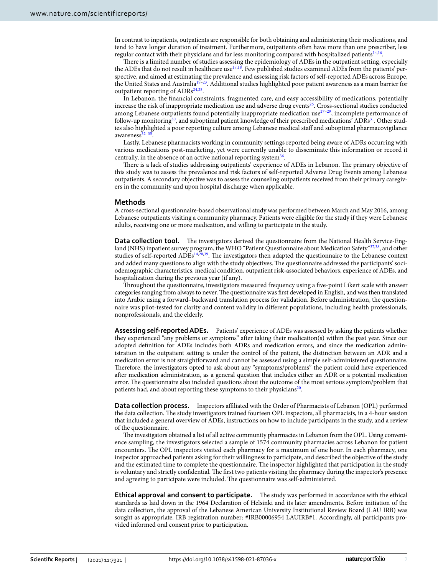In contrast to inpatients, outpatients are responsible for both obtaining and administering their medications, and tend to have longer duration of treatment. Furthermore, outpatients ofen have more than one prescriber, less regular contact with their physicians and far less monitoring compared with hospitalized patients<sup>[14](#page-8-10),[16](#page-8-12)</sup>.

There is a limited number of studies assessing the epidemiology of ADEs in the outpatient setting, especially the ADEs that do not result in healthcare use<sup>17,18</sup>. Few published studies examined ADEs from the patients' perspective, and aimed at estimating the prevalence and assessing risk factors of self-reported ADEs across Europe, the United States and Australia[19–](#page-8-15)[23](#page-8-16). Additional studies highlighted poor patient awareness as a main barrier for outpatient reporting of  $\mathrm{ADRs^{24,25}.}$  $\mathrm{ADRs^{24,25}.}$  $\mathrm{ADRs^{24,25}.}$  $\mathrm{ADRs^{24,25}.}$  $\mathrm{ADRs^{24,25}.}$ 

In Lebanon, the fnancial constraints, fragmented care, and easy accessibility of medications, potentially increase the risk of inappropriate medication use and adverse drug events<sup>26</sup>. Cross-sectional studies conducted among Lebanese outpatients found potentially inappropriate medication use<sup>[27](#page-8-20)-[29](#page-8-21)</sup>, incomplete performance of follow-up monitoring<sup>30</sup>, and suboptimal patient knowledge of their prescribed medications' ADRs<sup>31</sup>. Other studies also highlighted a poor reporting culture among Lebanese medical staff and suboptimal pharmacovigilance awareness<sup>32-35</sup>

Lastly, Lebanese pharmacists working in community settings reported being aware of ADRs occurring with various medications post-marketing, yet were currently unable to disseminate this information or record it centrally, in the absence of an active national reporting system $36$ .

There is a lack of studies addressing outpatients' experience of ADEs in Lebanon. The primary objective of this study was to assess the prevalence and risk factors of self-reported Adverse Drug Events among Lebanese outpatients. A secondary objective was to assess the counseling outpatients received from their primary caregivers in the community and upon hospital discharge when applicable.

#### **Methods**

A cross-sectional questionnaire-based observational study was performed between March and May 2016, among Lebanese outpatients visiting a community pharmacy. Patients were eligible for the study if they were Lebanese adults, receiving one or more medication, and willing to participate in the study.

**Data collection tool.** The investigators derived the questionnaire from the National Health Service-England (NHS) inpatient survey program, the WHO "Patient Questionnaire about Medication Safety"[37](#page-8-27)[,38](#page-8-28), and other studies of self-reported ADEs<sup>[14](#page-8-10),[20](#page-8-29),[39](#page-8-30)</sup>. The investigators then adapted the questionnaire to the Lebanese context and added many questions to align with the study objectives. The questionnaire addressed the participants' sociodemographic characteristics, medical condition, outpatient risk-associated behaviors, experience of ADEs, and hospitalization during the previous year (if any).

Troughout the questionnaire, investigators measured frequency using a fve-point Likert scale with answer categories ranging from always to never. The questionnaire was first developed in English, and was then translated into Arabic using a forward–backward translation process for validation. Before administration, the questionnaire was pilot-tested for clarity and content validity in diferent populations, including health professionals, nonprofessionals, and the elderly.

**Assessing self‑reported ADEs.** Patients' experience of ADEs was assessed by asking the patients whether they experienced "any problems or symptoms" afer taking their medication(s) within the past year. Since our adopted defnition for ADEs includes both ADRs and medication errors, and since the medication administration in the outpatient setting is under the control of the patient, the distinction between an ADR and a medication error is not straightforward and cannot be assessed using a simple self-administered questionnaire. Therefore, the investigators opted to ask about any "symptoms/problems" the patient could have experienced afer medication administration, as a general question that includes either an ADR or a potential medication error. The questionnaire also included questions about the outcome of the most serious symptom/problem that patients had, and about reporting these symptoms to their physicians<sup>[20](#page-8-29)</sup>.

**Data collection process.** Inspectors afliated with the Order of Pharmacists of Lebanon (OPL) performed the data collection. The study investigators trained fourteen OPL inspectors, all pharmacists, in a 4-hour session that included a general overview of ADEs, instructions on how to include participants in the study, and a review of the questionnaire.

The investigators obtained a list of all active community pharmacies in Lebanon from the OPL. Using convenience sampling, the investigators selected a sample of 1574 community pharmacies across Lebanon for patient encounters. The OPL inspectors visited each pharmacy for a maximum of one hour. In each pharmacy, one inspector approached patients asking for their willingness to participate, and described the objective of the study and the estimated time to complete the questionnaire. The inspector highlighted that participation in the study is voluntary and strictly confidential. The first two patients visiting the pharmacy during the inspector's presence and agreeing to participate were included. The questionnaire was self-administered.

**Ethical approval and consent to participate.** The study was performed in accordance with the ethical standards as laid down in the 1964 Declaration of Helsinki and its later amendments. Before initiation of the data collection, the approval of the Lebanese American University Institutional Review Board (LAU IRB) was sought as appropriate. IRB registration number: #IRB00006954 LAUIRB#1. Accordingly, all participants provided informed oral consent prior to participation.

2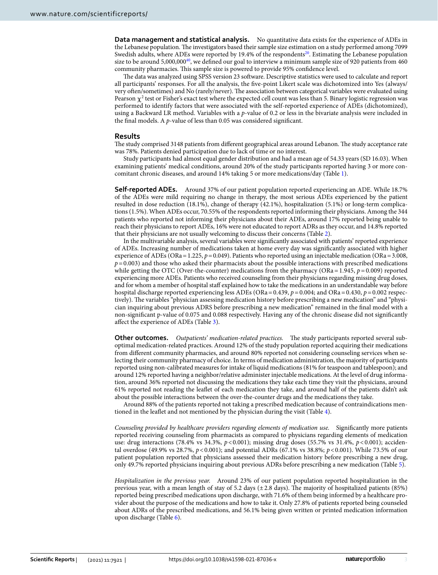**Data management and statistical analysis.** No quantitative data exists for the experience of ADEs in the Lebanese population. The investigators based their sample size estimation on a study performed among 7099 Swedish adults, where ADEs were reported by 19.4% of the respondents<sup>[20](#page-8-29)</sup>. Estimating the Lebanese population size to be around 5,000,000<sup>40</sup>, we defined our goal to interview a minimum sample size of 920 patients from 460 community pharmacies. This sample size is powered to provide 95% confidence level.

The data was analyzed using SPSS version 23 software. Descriptive statistics were used to calculate and report all participants' responses. For all the analysis, the fve-point Likert scale was dichotomized into Yes (always/ very often/sometimes) and No (rarely/never). The association between categorical variables were evaluated using Pearson  $\chi^2$  test or Fisher's exact test where the expected cell count was less than 5. Binary logistic regression was performed to identify factors that were associated with the self-reported experience of ADEs (dichotomized), using a Backward LR method. Variables with a *p*-value of 0.2 or less in the bivariate analysis were included in the fnal models. A *p*-value of less than 0.05 was considered signifcant.

#### **Results**

The study comprised 3148 patients from different geographical areas around Lebanon. The study acceptance rate was 78%. Patients denied participation due to lack of time or no interest.

Study participants had almost equal gender distribution and had a mean age of 54.33 years (SD 16.03). When examining patients' medical conditions, around 20% of the study participants reported having 3 or more concomitant chronic diseases, and around 14% taking 5 or more medications/day (Table [1](#page-3-0)).

**Self‑reported ADEs.** Around 37% of our patient population reported experiencing an ADE. While 18.7% of the ADEs were mild requiring no change in therapy, the most serious ADEs experienced by the patient resulted in dose reduction (18.1%), change of therapy (42.1%), hospitalization (5.1%) or long-term complications (1.5%). When ADEs occur, 70.55% of the respondents reported informing their physicians. Among the 344 patients who reported not informing their physicians about their ADEs, around 17% reported being unable to reach their physicians to report ADEs, 16% were not educated to report ADRs as they occur, and 14.8% reported that their physicians are not usually welcoming to discuss their concerns (Table [2\)](#page-4-0).

In the multivariable analysis, several variables were signifcantly associated with patients' reported experience of ADEs. Increasing number of medications taken at home every day was signifcantly associated with higher experience of ADEs (ORa = 1.225,  $p = 0.049$ ). Patients who reported using an injectable medication (ORa = 3.008,  $p = 0.003$ ) and those who asked their pharmacists about the possible interactions with prescribed medications while getting the OTC (Over-the-counter) medications from the pharmacy (ORa=1.945,  $p = 0.009$ ) reported experiencing more ADEs. Patients who received counseling from their physicians regarding missing drug doses, and for whom a member of hospital staf explained how to take the medications in an understandable way before hospital discharge reported experiencing less ADEs (ORa=0.439, *p*=0.004; and ORa=0.430, *p*=0.002 respectively). The variables "physician assessing medication history before prescribing a new medication" and "physician inquiring about previous ADRS before prescribing a new medication" remained in the fnal model with a non-signifcant p-value of 0.075 and 0.088 respectively. Having any of the chronic disease did not signifcantly afect the experience of ADEs (Table [3\)](#page-4-1).

Other outcomes. Outpatients' medication-related practices. The study participants reported several suboptimal medication-related practices. Around 12% of the study population reported acquiring their medications from diferent community pharmacies, and around 80% reported not considering counseling services when selecting their community pharmacy of choice. In terms of medication administration, the majority of participants reported using non-calibrated measures for intake of liquid medications (81% for teaspoon and tablespoon); and around 12% reported having a neighbor/relative administer injectable medications. At the level of drug information, around 36% reported not discussing the medications they take each time they visit the physicians, around 61% reported not reading the leafet of each medication they take, and around half of the patients didn't ask about the possible interactions between the over-the-counter drugs and the medications they take.

Around 88% of the patients reported not taking a prescribed medication because of contraindications mentioned in the leafet and not mentioned by the physician during the visit (Table [4\)](#page-5-0).

*Counseling provided by healthcare providers regarding elements of medication use.* Signifcantly more patients reported receiving counseling from pharmacists as compared to physicians regarding elements of medication use: drug interactions (78.4% vs 34.3%, *p*<0.001); missing drug doses (55.7% vs 31.4%, *p*<0.001); accidental overdose (49.9% vs 28.7%, *p*<0.001); and potential ADRs (67.1% vs 38.8%; *p*<0.001). While 73.5% of our patient population reported that physicians assessed their medication history before prescribing a new drug, only 49.7% reported physicians inquiring about previous ADRs before prescribing a new medication (Table [5\)](#page-5-1).

*Hospitalization in the previous year.* Around 23% of our patient population reported hospitalization in the previous year, with a mean length of stay of 5.2 days  $(\pm 2.8 \text{ days})$ . The majority of hospitalized patients (85%) reported being prescribed medications upon discharge, with 71.6% of them being informed by a healthcare provider about the purpose of the medications and how to take it. Only 27.8% of patients reported being counseled about ADRs of the prescribed medications, and 56.1% being given written or printed medication information upon discharge (Table [6\)](#page-6-0).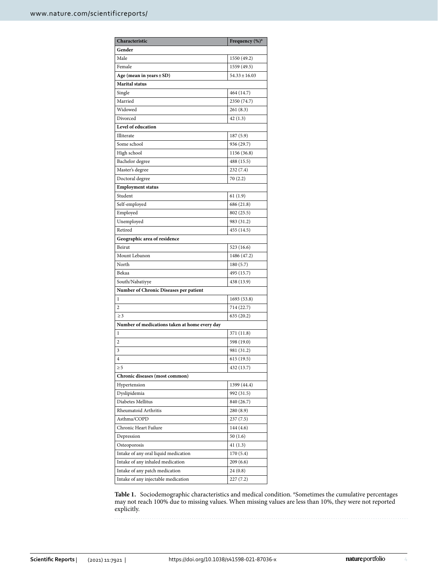| Characteristic                                | Frequency (%) <sup>a</sup> |
|-----------------------------------------------|----------------------------|
| Gender                                        |                            |
| Male                                          | 1550 (49.2)                |
| Female                                        | 1559 (49.5)                |
| Age (mean in years $\pm$ SD)                  | $54.33 \pm 16.03$          |
| <b>Marital status</b>                         |                            |
| Single                                        | 464 (14.7)                 |
| Married                                       | 2350 (74.7)                |
| Widowed                                       | 261(8.3)                   |
| Divorced                                      | 42(1.3)                    |
| <b>Level of education</b>                     |                            |
| Illiterate                                    | 187 (5.9)                  |
| Some school                                   | 936 (29.7)                 |
| High school                                   | 1156 (36.8)                |
| Bachelor degree                               | 488 (15.5)                 |
| Master's degree                               | 232 (7.4)                  |
| Doctoral degree                               | 70(2.2)                    |
| <b>Employment status</b>                      |                            |
| Student                                       | 61 (1.9)                   |
| Self-employed                                 | 686 (21.8)                 |
| Employed                                      | 802 (25.5)                 |
| Unemployed                                    | 983 (31.2)                 |
| Retired                                       | 455 (14.5)                 |
| Geographic area of residence                  |                            |
| Beirut                                        | 523 (16.6)                 |
| Mount Lebanon                                 | 1486 (47.2)                |
| North                                         | 180 (5.7)                  |
| Bekaa                                         | 495 (15.7)                 |
| South/Nabatiyye                               | 438 (13.9)                 |
| Number of Chronic Diseases per patient        |                            |
| 1                                             | 1693 (53.8)                |
| 2                                             | 714 (22.7)                 |
| $\geq$ 3                                      | 635 (20.2)                 |
| Number of medications taken at home every day |                            |
| 1                                             | 371 (11.8)                 |
| 2                                             | 598 (19.0)                 |
| 3                                             | 981 (31.2)                 |
| 4                                             | 615 (19.5)                 |
| $\geq 5$                                      | 432 (13.7)                 |
| Chronic diseases (most common)                |                            |
| Hypertension                                  | 1399 (44.4)                |
| Dyslipidemia                                  | 992 (31.5)                 |
| Diabetes Mellitus                             | 840 (26.7)                 |
| Rheumatoid Arthritis                          | 280 (8.9)                  |
| Asthma/COPD                                   | 237(7.5)                   |
| Chronic Heart Failure                         | 144 (4.6)                  |
| Depression                                    | 50(1.6)                    |
| Osteoporosis                                  | 41(1.3)                    |
| Intake of any oral liquid medication          | 170 (5.4)                  |
| Intake of any inhaled medication              | 209(6.6)                   |
| Intake of any patch medication                | 24(0.8)                    |
| Intake of any injectable medication           | 227(7.2)                   |
|                                               |                            |

<span id="page-3-0"></span>Table 1. Sociodemographic characteristics and medical condition. <sup>a</sup>Sometimes the cumulative percentages may not reach 100% due to missing values. When missing values are less than 10%, they were not reported explicitly.

4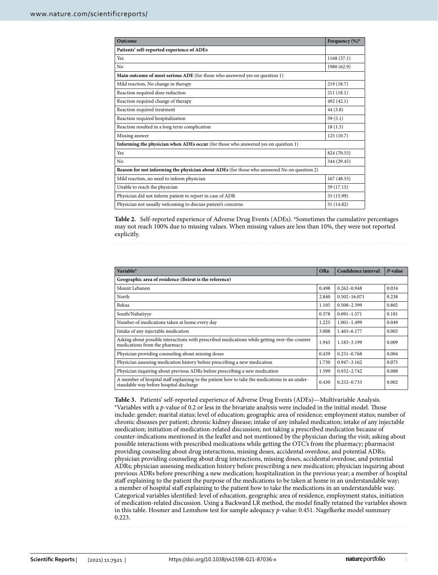| Outcome                                                                                     | Frequency (%) <sup>a</sup> |  |
|---------------------------------------------------------------------------------------------|----------------------------|--|
| Patients' self-reported experience of ADEs                                                  |                            |  |
| Yes                                                                                         | 1168 (37.1)                |  |
| N <sub>o</sub>                                                                              | 1980 (62.9)                |  |
| Main outcome of most serious ADE (for those who answered yes on question 1)                 |                            |  |
| Mild reaction, No change in therapy                                                         | 219 (18.7)                 |  |
| Reaction required dose reduction                                                            | 211(18.1)                  |  |
| Reaction required change of therapy                                                         | 492 (42.1)                 |  |
| Reaction required treatment                                                                 | 44 (3.8)                   |  |
| Reaction required hospitalization                                                           | 59(5.1)                    |  |
| Reaction resulted in a long term complication                                               | 18(1.5)                    |  |
| Missing answer                                                                              | 125(10.7)                  |  |
| <b>Informing the physician when ADEs occur</b> (for those who answered yes on question 1)   |                            |  |
| Yes                                                                                         | 824 (70.55)                |  |
| No                                                                                          | 344 (29.45)                |  |
| Reason for not informing the physician about ADEs (for those who answered No on question 2) |                            |  |
| Mild reaction, no need to inform physician                                                  | 167(48.55)                 |  |
| Unable to reach the physician                                                               | 59 (17.15)                 |  |
| Physician did not inform patient to report in case of ADR                                   | 55 (15.99)                 |  |
| Physician not usually welcoming to discuss patient's concerns                               | 51 (14.82)                 |  |

<span id="page-4-0"></span>Table 2. Self-reported experience of Adverse Drug Events (ADEs). <sup>a</sup>Sometimes the cumulative percentages may not reach 100% due to missing values. When missing values are less than 10%, they were not reported explicitly.

| Variable <sup>a</sup>                                                                                                                    | <b>ORa</b> | Confidence interval | P-value |
|------------------------------------------------------------------------------------------------------------------------------------------|------------|---------------------|---------|
| Geographic area of residence (Beirut is the reference)                                                                                   |            |                     |         |
| Mount Lebanon                                                                                                                            | 0.498      | $0.262 - 0.948$     | 0.034   |
| North                                                                                                                                    | 2.840      | $0.502 - 16.071$    | 0.238   |
| Bekaa                                                                                                                                    | 1.105      | $0.508 - 2.399$     | 0.802   |
| South/Nabatiyye                                                                                                                          | 0.378      | $0.091 - 1.571$     | 0.181   |
| Number of medications taken at home every day                                                                                            | 1.225      | $1.001 - 1.499$     | 0.049   |
| Intake of any injectable medication                                                                                                      | 3.008      | 1.465-6.177         | 0.003   |
| Asking about possible interactions with prescribed medications while getting over-the-counter<br>medications from the pharmacy           | 1.945      | 1.183-3.199         | 0.009   |
| Physician providing counseling about missing doses                                                                                       | 0.439      | $0.251 - 0.768$     | 0.004   |
| Physician assessing medication history before prescribing a new medication                                                               | 1.730      | $0.947 - 3.162$     | 0.075   |
| Physician inquiring about previous ADRs before prescribing a new medication                                                              | 1.599      | $0.932 - 2.742$     | 0.088   |
| A member of hospital staff explaining to the patient how to take the medications in an under-<br>standable way before hospital discharge | 0.430      | $0.252 - 0.733$     | 0.002   |

<span id="page-4-1"></span>**Table 3.** Patients' self-reported experience of Adverse Drug Events (ADEs)—Multivariable Analysis. a <sup>a</sup>Variables with a *p*-value of 0.2 or less in the bivariate analysis were included in the initial model. Those include: gender; marital status; level of education; geographic area of residence; employment status; number of chronic diseases per patient; chronic kidney disease; intake of any inhaled medication; intake of any injectable medication; initiation of medication-related discussion; not taking a prescribed medication because of counter-indications mentioned in the leafet and not mentioned by the physician during the visit; asking about possible interactions with prescribed medications while getting the OTC's from the pharmacy; pharmacist providing counseling about drug interactions, missing doses, accidental overdose, and potential ADRs; physician providing counseling about drug interactions, missing doses, accidental overdose, and potential ADRs; physician assessing medication history before prescribing a new medication; physician inquiring about previous ADRs before prescribing a new medication; hospitalization in the previous year; a member of hospital staff explaining to the patient the purpose of the medications to be taken at home in an understandable way; a member of hospital staff explaining to the patient how to take the medications in an understandable way. Categorical variables identifed: level of education, geographic area of residence, employment status, initiation of medication-related discussion. Using a Backward LR method, the model fnally retained the variables shown in this table. Hosmer and Lemshow test for sample adequacy *p*-value: 0.451. Nagelkerke model summary 0.223.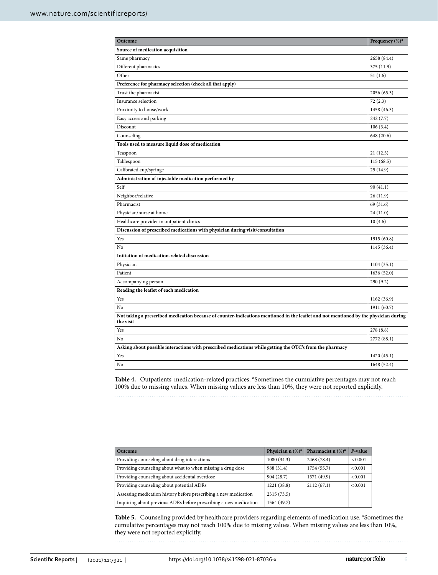| Outcome                                                                                                                                           | Frequency $(\%)^a$ |  |
|---------------------------------------------------------------------------------------------------------------------------------------------------|--------------------|--|
| Source of medication acquisition                                                                                                                  |                    |  |
| Same pharmacy                                                                                                                                     | 2658 (84.4)        |  |
| Different pharmacies                                                                                                                              | 375 (11.9)         |  |
| Other                                                                                                                                             | 51 (1.6)           |  |
| Preference for pharmacy selection (check all that apply)                                                                                          |                    |  |
| Trust the pharmacist                                                                                                                              | 2056 (65.3)        |  |
| Insurance selection                                                                                                                               | 72 (2.3)           |  |
| Proximity to house/work                                                                                                                           | 1458 (46.3)        |  |
| Easy access and parking                                                                                                                           | 242(7.7)           |  |
| Discount                                                                                                                                          | 106(3.4)           |  |
| Counseling                                                                                                                                        | 648 (20.6)         |  |
| Tools used to measure liquid dose of medication                                                                                                   |                    |  |
| Teaspoon                                                                                                                                          | 21 (12.5)          |  |
| Tablespoon                                                                                                                                        | 115(68.5)          |  |
| Calibrated cup/syringe                                                                                                                            | 25 (14.9)          |  |
| Administration of injectable medication performed by                                                                                              |                    |  |
| Self                                                                                                                                              | 90(41.1)           |  |
| Neighbor/relative                                                                                                                                 | 26 (11.9)          |  |
| Pharmacist                                                                                                                                        | 69 (31.6)          |  |
| Physician/nurse at home                                                                                                                           | 24 (11.0)          |  |
| Healthcare provider in outpatient clinics                                                                                                         | 10(4.6)            |  |
| Discussion of prescribed medications with physician during visit/consultation                                                                     |                    |  |
| Yes                                                                                                                                               | 1915 (60.8)        |  |
| No                                                                                                                                                | 1145 (36.4)        |  |
| Initiation of medication-related discussion                                                                                                       |                    |  |
| Physician                                                                                                                                         | 1104 (35.1)        |  |
| Patient                                                                                                                                           | 1636 (52.0)        |  |
| Accompanying person                                                                                                                               | 290 (9.2)          |  |
| Reading the leaflet of each medication                                                                                                            |                    |  |
| Yes                                                                                                                                               | 1162 (36.9)        |  |
| No                                                                                                                                                | 1911 (60.7)        |  |
| Not taking a prescribed medication because of counter-indications mentioned in the leaflet and not mentioned by the physician during<br>the visit |                    |  |
| Yes                                                                                                                                               | 278 (8.8)          |  |
| No                                                                                                                                                | 2772 (88.1)        |  |
| Asking about possible interactions with prescribed medications while getting the OTC's from the pharmacy                                          |                    |  |
| Yes                                                                                                                                               | 1420 (45.1)        |  |
| No                                                                                                                                                | 1648 (52.4)        |  |

<span id="page-5-0"></span>Table 4. Outpatients' medication-related practices. <sup>a</sup> Sometimes the cumulative percentages may not reach 100% due to missing values. When missing values are less than 10%, they were not reported explicitly.

| Outcome                                                           | Physician $n$ (%) <sup>a</sup> | Pharmacist n $(\%)^a$ | P-value       |
|-------------------------------------------------------------------|--------------------------------|-----------------------|---------------|
| Providing counseling about drug interactions                      | 1080(34.3)                     | 2468 (78.4)           | ${}_{<0.001}$ |
| Providing counseling about what to when missing a drug dose       | 988 (31.4)                     | 1754 (55.7)           | < 0.001       |
| Providing counseling about accidental overdose                    | 904 (28.7)                     | 1571 (49.9)           | < 0.001       |
| Providing counseling about potential ADRs                         | 1221 (38.8)                    | 2112(67.1)            | < 0.001       |
| Assessing medication history before prescribing a new medication  | 2315 (73.5)                    |                       |               |
| Inquiring about previous ADRs before prescribing a new medication | 1564 (49.7)                    |                       |               |

<span id="page-5-1"></span>Table 5. Counseling provided by healthcare providers regarding elements of medication use. <sup>a</sup>Sometimes the cumulative percentages may not reach 100% due to missing values. When missing values are less than 10%, they were not reported explicitly.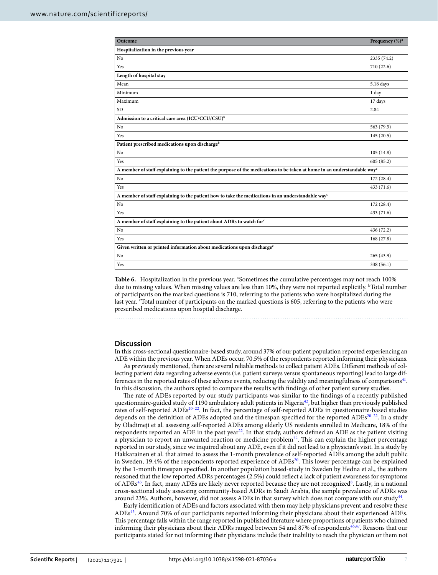| Outcome                                                                                                                              | Frequency (%) <sup>a</sup> |  |
|--------------------------------------------------------------------------------------------------------------------------------------|----------------------------|--|
| Hospitalization in the previous year                                                                                                 |                            |  |
| No                                                                                                                                   | 2335 (74.2)                |  |
| Yes                                                                                                                                  | 710 (22.6)                 |  |
| Length of hospital stay                                                                                                              |                            |  |
| Mean                                                                                                                                 | 5.18 days                  |  |
| Minimum                                                                                                                              | 1 day                      |  |
| Maximum                                                                                                                              | 17 days                    |  |
| <b>SD</b>                                                                                                                            | 2.84                       |  |
| Admission to a critical care area (ICU/CCU/CSU) <sup>b</sup>                                                                         |                            |  |
| No                                                                                                                                   | 563 (79.5)                 |  |
| Yes                                                                                                                                  | 145(20.5)                  |  |
| Patient prescribed medications upon discharge <sup>b</sup>                                                                           |                            |  |
| No                                                                                                                                   | 105(14.8)                  |  |
| Yes                                                                                                                                  | 605 (85.2)                 |  |
| A member of staff explaining to the patient the purpose of the medications to be taken at home in an understandable way <sup>c</sup> |                            |  |
| No                                                                                                                                   | 172 (28.4)                 |  |
| Yes                                                                                                                                  | 433 (71.6)                 |  |
| A member of staff explaining to the patient how to take the medications in an understandable way <sup>c</sup>                        |                            |  |
| No                                                                                                                                   | 172 (28.4)                 |  |
| Yes                                                                                                                                  | 433 (71.6)                 |  |
| A member of staff explaining to the patient about ADRs to watch for <sup>c</sup>                                                     |                            |  |
| No                                                                                                                                   | 436 (72.2)                 |  |
| Yes                                                                                                                                  | 168(27.8)                  |  |
| Given written or printed information about medications upon discharge <sup>c</sup>                                                   |                            |  |
| No                                                                                                                                   | 265 (43.9)                 |  |
| Yes                                                                                                                                  | 338 (56.1)                 |  |

<span id="page-6-0"></span>Table 6. Hospitalization in the previous year. <sup>a</sup> Sometimes the cumulative percentages may not reach 100% due to missing values. When missing values are less than 10%, they were not reported explicitly. <sup>b</sup>Total number of participants on the marked questions is 710, referring to the patients who were hospitalized during the last year. 'Total number of participants on the marked questions is 605, referring to the patients who were prescribed medications upon hospital discharge.

#### **Discussion**

In this cross-sectional questionnaire-based study, around 37% of our patient population reported experiencing an ADE within the previous year. When ADEs occur, 70.5% of the respondents reported informing their physicians.

As previously mentioned, there are several reliable methods to collect patient ADEs. Diferent methods of collecting patient data regarding adverse events (i.e. patient surveys versus spontaneous reporting) lead to large dif-ferences in the reported rates of these adverse events, reducing the validity and meaningfulness of comparisons<sup>[41](#page-8-32)</sup>. In this discussion, the authors opted to compare the results with fndings of other patient survey studies.

The rate of ADEs reported by our study participants was similar to the findings of a recently published questionnaire-guided study of 1190 ambulatory adult patients in Nigeria<sup>42</sup>, but higher than previously published rates of self-reported ADEs<sup>20-22</sup>. In fact, the percentage of self-reported ADEs in questionnaire-based studies depends on the definition of ADEs adopted and the timespan specified for the reported ADEs<sup>20–22</sup>. In a study by Oladimeji et al. assessing self-reported ADEs among elderly US residents enrolled in Medicare, 18% of the respondents reported an ADE in the past year<sup>22</sup>. In that study, authors defined an ADE as the patient visiting a physician to report an unwanted reaction or medicine problem<sup>22</sup>. This can explain the higher percentage reported in our study, since we inquired about any ADE, even if it did not lead to a physician's visit. In a study by Hakkarainen et al. that aimed to assess the 1-month prevalence of self-reported ADEs among the adult public in Sweden, 19.4% of the respondents reported experience of  $ADEs^{20}$ . This lower percentage can be explained by the 1-month timespan specifed. In another population based-study in Sweden by Hedna et al., the authors reasoned that the low reported ADRs percentages (2.5%) could refect a lack of patient awareness for symptoms of ADRs<sup>43</sup>. In fact, many ADEs are likely never reported because they are not recognized<sup>[8](#page-8-4)</sup>. Lastly, in a national cross-sectional study assessing community-based ADRs in Saudi Arabia, the sample prevalence of ADRs was around 23%. Authors, however, did not assess ADEs in that survey which does not compare with our stud[y44.](#page-8-36)

Early identifcation of ADEs and factors associated with them may help physicians prevent and resolve these ADE[s45](#page-8-37). Around 70% of our participants reported informing their physicians about their experienced ADEs. Tis percentage falls within the range reported in published literature where proportions of patients who claimed informing their physicians about their ADRs ranged between 54 and 87% of respondents<sup>[46](#page-8-38),[47](#page-9-0)</sup>. Reasons that our participants stated for not informing their physicians include their inability to reach the physician or them not

7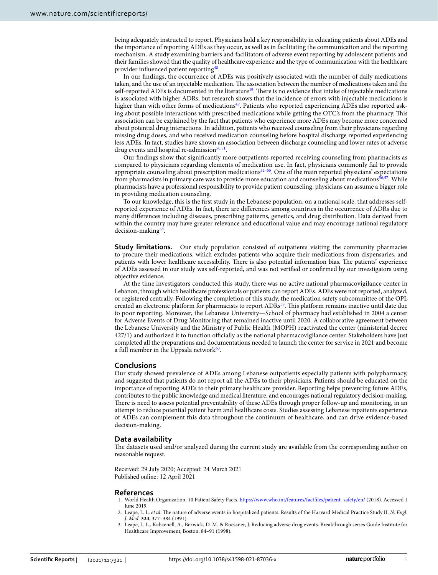being adequately instructed to report. Physicians hold a key responsibility in educating patients about ADEs and the importance of reporting ADEs as they occur, as well as in facilitating the communication and the reporting mechanism. A study examining barriers and facilitators of adverse event reporting by adolescent patients and their families showed that the quality of healthcare experience and the type of communication with the healthcare provider infuenced patient reporting[48.](#page-9-1)

In our fndings, the occurrence of ADEs was positively associated with the number of daily medications taken, and the use of an injectable medication. The association between the number of medications taken and the self-reported ADEs is documented in the literature<sup>[19](#page-8-15)</sup>. There is no evidence that intake of injectable medications is associated with higher ADRs, but research shows that the incidence of errors with injectable medications is higher than with other forms of medications<sup>49</sup>. Patients who reported experiencing ADEs also reported asking about possible interactions with prescribed medications while getting the OTC's from the pharmacy. This association can be explained by the fact that patients who experience more ADEs may become more concerned about potential drug interactions. In addition, patients who received counseling from their physicians regarding missing drug doses, and who received medication counseling before hospital discharge reported experiencing less ADEs. In fact, studies have shown an association between discharge counseling and lower rates of adverse drug events and hospital re-admission<sup>50,51</sup>.

Our fndings show that signifcantly more outpatients reported receiving counseling from pharmacists as compared to physicians regarding elements of medication use. In fact, physicians commonly fail to provide appropriate counseling about prescription medications<sup>52–55</sup>. One of the main reported physicians' expectations from pharmacists in primary care was to provide more education and counseling about medications<sup>56[,57](#page-9-8)</sup>. While pharmacists have a professional responsibility to provide patient counseling, physicians can assume a bigger role in providing medication counseling.

To our knowledge, this is the frst study in the Lebanese population, on a national scale, that addresses selfreported experience of ADEs. In fact, there are diferences among countries in the occurrence of ADRs due to many diferences including diseases, prescribing patterns, genetics, and drug distribution. Data derived from within the country may have greater relevance and educational value and may encourage national regulatory  $decision-making<sup>58</sup>$ .

**Study limitations.** Our study population consisted of outpatients visiting the community pharmacies to procure their medications, which excludes patients who acquire their medications from dispensaries, and patients with lower healthcare accessibility. There is also potential information bias. The patients' experience of ADEs assessed in our study was self-reported, and was not verifed or confrmed by our investigators using objective evidence.

At the time investigators conducted this study, there was no active national pharmacovigilance center in Lebanon, through which healthcare professionals or patients can report ADEs. ADEs were not reported, analyzed, or registered centrally. Following the completion of this study, the medication safety subcommittee of the OPL created an electronic platform for pharmacists to report ADRs<sup>59</sup>. This platform remains inactive until date due to poor reporting. Moreover, the Lebanese University—School of pharmacy had established in 2004 a center for Adverse Events of Drug Monitoring that remained inactive until 2020. A collaborative agreement between the Lebanese University and the Ministry of Public Health (MOPH) reactivated the center (ministerial decree 427/1) and authorized it to function officially as the national pharmacovigilance center. Stakeholders have just completed all the preparations and documentations needed to launch the center for service in 2021 and become a full member in the Uppsala network $60$ .

#### **Conclusions**

Our study showed prevalence of ADEs among Lebanese outpatients especially patients with polypharmacy, and suggested that patients do not report all the ADEs to their physicians. Patients should be educated on the importance of reporting ADEs to their primary healthcare provider. Reporting helps preventing future ADEs, contributes to the public knowledge and medical literature, and encourages national regulatory decision-making. There is need to assess potential preventability of these ADEs through proper follow-up and monitoring, in an attempt to reduce potential patient harm and healthcare costs. Studies assessing Lebanese inpatients experience of ADEs can complement this data throughout the continuum of healthcare, and can drive evidence-based decision-making.

#### **Data availability**

The datasets used and/or analyzed during the current study are available from the corresponding author on reasonable request.

Received: 29 July 2020; Accepted: 24 March 2021 Published online: 12 April 2021

#### **References**

- <span id="page-7-0"></span>1. World Health Organization. 10 Patient Safety Facts. [https://www.who.int/features/factfiles/patient\\_safety/en/](https://www.who.int/features/factfiles/patient_safety/en/) (2018). Accessed 1 June 2019.
- <span id="page-7-1"></span>2. Leape, L. L. et al. The nature of adverse events in hospitalized patients. Results of the Harvard Medical Practice Study II. *N. Engl. J. Med.* **324**, 377–384 (1991).
- <span id="page-7-2"></span>3. Leape, L. L., Kabcenell, A., Berwick, D. M. & Roessner, J. Reducing adverse drug events. Breakthrough series Guide Institute for Healthcare Improvement, Boston, 84–91 (1998).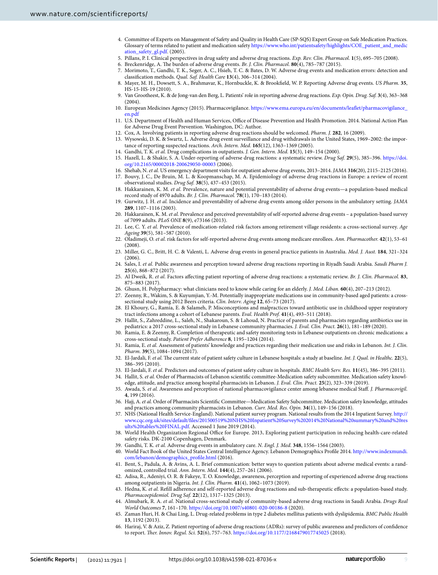- <span id="page-8-0"></span>4. Committee of Experts on Management of Safety and Quality in Health Care (SP-SQS) Expert Group on Safe Medication Practices. Glossary of terms related to patient and medication safety [https://www.who.int/patientsafety/highlights/COE\\_patient\\_and\\_medic](https://www.who.int/patientsafety/highlights/COE_patient_and_medication_safety_gl.pdf) [ation\\_safety\\_gl.pdf](https://www.who.int/patientsafety/highlights/COE_patient_and_medication_safety_gl.pdf). (2005).
- <span id="page-8-1"></span>5. Pillans, P. I. Clinical perspectives in drug safety and adverse drug reactions. *Exp. Rev. Clin. Pharmacol.* **1**(5), 695–705 (2008).
- <span id="page-8-2"></span>6. Breckenridge, A. The burden of adverse drug events. *Br. J. Clin. Pharmacol.* **80**(4), 785-787 (2015).
- <span id="page-8-3"></span>7. Morimoto, T., Gandhi, T. K., Seger, A. C., Hsieh, T. C. & Bates, D. W. Adverse drug events and medication errors: detection and classifcation methods. *Qual. Saf. Health Care* **13**(4), 306–314 (2004).
- <span id="page-8-4"></span>8. Mayer, M. H., Dowsett, S. A., Brahmavar, K., Hornbuckle, K. & Brookfeld, W. P. Reporting Adverse drug events. *US Pharm.* **35**, HS-15-HS-19 (2010).
- <span id="page-8-5"></span>9. Van Grootheest, K. & de Jong-van den Berg, L. Patients' role in reporting adverse drug reactions. *Exp. Opin. Drug. Saf.* **3**(4), 363–368 (2004).
- <span id="page-8-6"></span>10. European Medicines Agency (2015). Pharmacovigilance. [https://www.ema.europa.eu/en/documents/leafet/pharmacovigilance\\_](https://www.ema.europa.eu/en/documents/leaflet/pharmacovigilance_en.pdf) [en.pdf](https://www.ema.europa.eu/en/documents/leaflet/pharmacovigilance_en.pdf)
- <span id="page-8-7"></span>11. U.S. Department of Health and Human Services, Office of Disease Prevention and Health Promotion. 2014. National Action Plan for Adverse Drug Event Prevention. Washington, DC: Author.
- <span id="page-8-8"></span>12. Cox, A. Involving patients in reporting adverse drug reactions should be welcomed. *Pharm. J.* **282**, 16 (2009).
- <span id="page-8-9"></span>13. Wysowski, D. K. & Swartz, L. Adverse drug event surveillance and drug withdrawals in the United States, 1969–2002: the importance of reporting suspected reactions. *Arch. Intern. Med.* **165**(12), 1363–1369 (2005).
- <span id="page-8-10"></span>14. Gandhi, T. K. *et al.* Drug complications in outpatients. *J. Gen. Intern. Med.* **15**(3), 149–154 (2000).
- <span id="page-8-11"></span>15. Hazell, L. & Shakir, S. A. Under-reporting of adverse drug reactions: a systematic review. *Drug Saf.* **29**(5), 385–396. [https://doi.](https://doi.org/10.2165/00002018-200629050-00003) [org/10.2165/00002018-200629050-00003](https://doi.org/10.2165/00002018-200629050-00003) (2006).
- <span id="page-8-12"></span>16. Shehab, N. *et al.* US emergency department visits for outpatient adverse drug events, 2013–2014. *JAMA* **316**(20), 2115–2125 (2016).
- <span id="page-8-13"></span>17. Bouvy, J. C., De Bruin, M. L. & Koopmanschap, M. A. Epidemiology of adverse drug reactions in Europe: a review of recent observational studies. *Drug Saf.* **38**(5), 437–453 (2015).
- <span id="page-8-14"></span>18. Hakkarainen, K. M. *et al.* Prevalence, nature and potential preventability of adverse drug events—a population-based medical record study of 4970 adults. *Br. J. Clin. Pharmacol.* **78**(1), 170–183 (2014).
- <span id="page-8-15"></span>19. Gurwitz, J. H. *et al.* Incidence and preventability of adverse drug events among older persons in the ambulatory setting. *JAMA* **289**, 1107–1116 (2003).
- <span id="page-8-29"></span>20. Hakkarainen, K. M. *et al.* Prevalence and perceived preventability of self-reported adverse drug events – a population-based survey of 7099 adults. *PLoS ONE* **8**(9), e73166 (2013).
- 21. Lee, C. Y. *et al.* Prevalence of medication-related risk factors among retirement village residents: a cross-sectional survey. *Age Ageing* **39**(5), 581–587 (2010).
- <span id="page-8-34"></span>22. Oladimeji, O. *et al.* risk factors for self-reported adverse drug events among medicare enrollees. *Ann. Pharmacother.* **42**(1), 53–61 (2008).
- <span id="page-8-16"></span>23. Miller, G. C., Britt, H. C. & Valenti, L. Adverse drug events in general practice patients in Australia. *Med. J. Aust.* **184**, 321–324 (2006).
- <span id="page-8-17"></span>24. Sales, I. *et al.* Public awareness and perception toward adverse drug reactions reporting in Riyadh Saudi Arabia. *Saudi Pharm J.* **25**(6), 868–872 (2017).
- <span id="page-8-18"></span>25. Al Dweik, R. *et al.* Factors afecting patient reporting of adverse drug reactions: a systematic review. *Br. J. Clin. Pharmacol.* **83**, 875–883 (2017).
- <span id="page-8-19"></span>26. Ghusn, H. Polypharmacy: what clinicians need to know while caring for an elderly. *J. Med. Liban.* **60**(4), 207–213 (2012).
- <span id="page-8-20"></span>27. Zeenny, R., Wakim, S. & Kuyumjian, Y.-M. Potentially inappropriate medications use in community-based aged patients: a cross-
- sectional study using 2012 Beers criteria. *Clin. Interv. Aging* **12**, 65–73 (2017). 28. El Khoury, G., Ramia, E. & Salameh, P. Misconceptions and malpractices toward antibiotic use in childhood upper respiratory tract infections among a cohort of Lebanese parents. *Eval. Health Prof.* **41**(4), 493–511 (2018).
- <span id="page-8-21"></span>29. Hallit, S., Zahreddine, L., Saleh, N., Shakaroun, S. & Lahoud, N. Practice of parents and pharmacists regarding antibiotics use in pediatrics: a 2017 cross-sectional study in Lebanese community pharmacies. *J. Eval. Clin. Pract.* **26**(1), 181–189 (2020).
- <span id="page-8-22"></span>30. Ramia, E. & Zeenny, R. Completion of therapeutic and safety monitoring tests in Lebanese outpatients on chronic medications: a cross-sectional study. *Patient Prefer Adherence* **8**, 1195–1204 (2014).
- <span id="page-8-23"></span>31. Ramia, E. *et al.* Assessment of patients' knowledge and practices regarding their medication use and risks in Lebanon. *Int. J. Clin. Pharm.* **39**(5), 1084–1094 (2017).
- <span id="page-8-24"></span>32. El-Jardali, F. et al. The current state of patient safety culture in Lebanese hospitals: a study at baseline. *Int. J. Qual. in Healthc.* **22**(5), 386–395 (2010).
- 33. El-Jardali, F. *et al.* Predictors and outcomes of patient safety culture in hospitals. *BMC Health Serv. Res.* **11**(45), 386–395 (2011). 34. Hallit, S. *et al.* Order of Pharmacists of Lebanon scientifc committee-Medication safety subcommittee. Medication safety knowl-
- edge, attitude, and practice among hospital pharmacists in Lebanon. *J. Eval. Clin. Pract.* **25**(2), 323–339 (2019).
- <span id="page-8-25"></span>35. Awada, S. *et al.* Awareness and perception of national pharmacovigilance center among lebanese medical Staf. *J. Pharmacovigil.* **4**, 199 (2016).
- <span id="page-8-26"></span>36. Hajj, A. *et al.* Order of Pharmacists Scientifc Committee—Medication Safety Subcommittee. Medication safety knowledge, attitudes and practices among community pharmacists in Lebanon. *Curr. Med. Res. Opin.* **34**(1), 149–156 (2018).
- <span id="page-8-27"></span>37. NHS (National Health Service-England). National patient survey program. National results from the 2014 Inpatient Survey. [http://](http://www.cqc.org.uk/sites/default/files/201500519%20NHS%20Inpatient%20Survey%202014%20National%20summary%20and%20results%20tables%20FINAL.pdf) [www.cqc.org.uk/sites/default/fles/201500519%20NHS%20Inpatient%20Survey%202014%20National%20summary%20and%20res](http://www.cqc.org.uk/sites/default/files/201500519%20NHS%20Inpatient%20Survey%202014%20National%20summary%20and%20results%20tables%20FINAL.pdf) [ults%20tables%20FINAL.pdf](http://www.cqc.org.uk/sites/default/files/201500519%20NHS%20Inpatient%20Survey%202014%20National%20summary%20and%20results%20tables%20FINAL.pdf). Accessed 1 June 2019 (2014).
- <span id="page-8-28"></span>38. World Health Organization Regional Office for Europe. 2013. Exploring patient participation in reducing health-care-related safety risks. DK-2100 Copenhagen, Denmark.
- <span id="page-8-30"></span>39. Gandhi, T. K. *et al.* Adverse drug events in ambulatory care. *N. Engl. J. Med.* **348**, 1556–1564 (2003).
- <span id="page-8-31"></span>40. World Fact Book of the United States Central Intelligence Agency. Lebanon Demographics Profle 2014. [http://www.indexmundi.](http://www.indexmundi.com/lebanon/demographics_profile.html) [com/lebanon/demographics\\_profle.html](http://www.indexmundi.com/lebanon/demographics_profile.html) (2016).
- <span id="page-8-32"></span>41. Bent, S., Padula, A. & Avins, A. L. Brief communication: better ways to question patients about adverse medical events: a randomized, controlled trial. *Ann. Intern. Med.* **144**(4), 257–261 (2006).
- <span id="page-8-33"></span>42. Adisa, R., Adeniyi, O. R. & Fakeye, T. O. Knowledge, awareness, perception and reporting of experienced adverse drug reactions among outpatients in Nigeria. *Int. J. Clin. Pharm.* **41**(4), 1062–1073 (2019).
- <span id="page-8-35"></span>43. Hedna, K. *et al.* Refll adherence and self-reported adverse drug reactions and sub-therapeutic efects: a population-based study. *Pharmacoepidemiol. Drug Saf.* **22**(12), 1317–1325 (2013).
- <span id="page-8-36"></span>44. Almubark, R. A. *et al.* National cross-sectional study of community-based adverse drug reactions in Saudi Arabia. *Drugs Real World Outcomes* **7**, 161–170. <https://doi.org/10.1007/s40801-020-00186-8>(2020).
- <span id="page-8-37"></span>45. Zaman Huri, H. & Chai Ling, L. Drug-related problems in type 2 diabetes mellitus patients with dyslipidemia. *BMC Public Health* **13**, 1192 (2013).
- <span id="page-8-38"></span>46. Hariraj, V. & Aziz, Z. Patient reporting of adverse drug reactions (ADRs): survey of public awareness and predictors of confdence to report. *Ter. Innov. Regul. Sci.* **52**(6), 757–763.<https://doi.org/10.1177/2168479017745025> (2018).